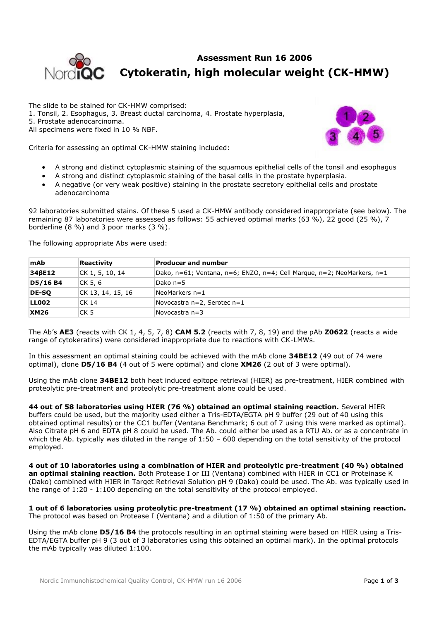

## **Assessment Run 16 2006 Cytokeratin, high molecular weight (CK-HMW)**

The slide to be stained for CK-HMW comprised: 1. Tonsil, 2. Esophagus, 3. Breast ductal carcinoma, 4. Prostate hyperplasia, 5. Prostate adenocarcinoma. All specimens were fixed in 10 % NBF.



Criteria for assessing an optimal CK-HMW staining included:

- A strong and distinct cytoplasmic staining of the squamous epithelial cells of the tonsil and esophagus
- A strong and distinct cytoplasmic staining of the basal cells in the prostate hyperplasia.
- A negative (or very weak positive) staining in the prostate secretory epithelial cells and prostate adenocarcinoma

92 laboratories submitted stains. Of these 5 used a CK-HMW antibody considered inappropriate (see below). The remaining 87 laboratories were assessed as follows: 55 achieved optimal marks (63 %), 22 good (25 %), 7 borderline (8 %) and 3 poor marks (3 %).

The following appropriate Abs were used:

| mAb         | Reactivity        | <b>Producer and number</b>                                             |
|-------------|-------------------|------------------------------------------------------------------------|
| 346E12      | CK 1, 5, 10, 14   | Dako, n=61; Ventana, n=6; ENZO, n=4; Cell Marque, n=2; NeoMarkers, n=1 |
| D5/16 B4    | CK 5, 6           | Dako n=5                                                               |
| DE-SO       | CK 13, 14, 15, 16 | NeoMarkers $n=1$                                                       |
| LL002       | CK 14             | Novocastra $n=2$ , Serotec $n=1$                                       |
| <b>XM26</b> | CK 5              | Novocastra n=3                                                         |

The Ab's **AE3** (reacts with CK 1, 4, 5, 7, 8) **CAM 5.2** (reacts with 7, 8, 19) and the pAb **Z0622** (reacts a wide range of cytokeratins) were considered inappropriate due to reactions with CK-LMWs.

In this assessment an optimal staining could be achieved with the mAb clone **34BE12** (49 out of 74 were optimal), clone **D5/16 B4** (4 out of 5 were optimal) and clone **XM26** (2 out of 3 were optimal).

Using the mAb clone **34BE12** both heat induced epitope retrieval (HIER) as pre-treatment, HIER combined with proteolytic pre-treatment and proteolytic pre-treatment alone could be used.

**44 out of 58 laboratories using HIER (76 %) obtained an optimal staining reaction.** Several HIER buffers could be used, but the majority used either a Tris-EDTA/EGTA pH 9 buffer (29 out of 40 using this obtained optimal results) or the CC1 buffer (Ventana Benchmark; 6 out of 7 using this were marked as optimal). Also Citrate pH 6 and EDTA pH 8 could be used. The Ab. could either be used as a RTU Ab. or as a concentrate in which the Ab. typically was diluted in the range of 1:50 - 600 depending on the total sensitivity of the protocol employed.

**4 out of 10 laboratories using a combination of HIER and proteolytic pre-treatment (40 %) obtained an optimal staining reaction.** Both Protease I or III (Ventana) combined with HIER in CC1 or Proteinase K (Dako) combined with HIER in Target Retrieval Solution pH 9 (Dako) could be used. The Ab. was typically used in the range of 1:20 - 1:100 depending on the total sensitivity of the protocol employed.

**1 out of 6 laboratories using proteolytic pre-treatment (17 %) obtained an optimal staining reaction.** The protocol was based on Protease I (Ventana) and a dilution of 1:50 of the primary Ab.

Using the mAb clone **D5/16 B4** the protocols resulting in an optimal staining were based on HIER using a Tris-EDTA/EGTA buffer pH 9 (3 out of 3 laboratories using this obtained an optimal mark). In the optimal protocols the mAb typically was diluted 1:100.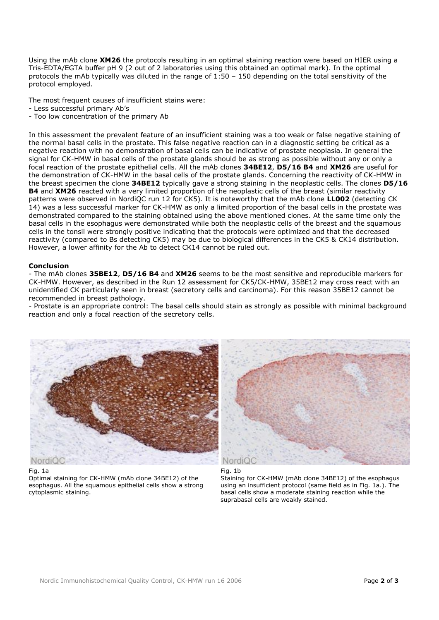Using the mAb clone **XM26** the protocols resulting in an optimal staining reaction were based on HIER using a Tris-EDTA/EGTA buffer pH 9 (2 out of 2 laboratories using this obtained an optimal mark). In the optimal protocols the mAb typically was diluted in the range of 1:50 – 150 depending on the total sensitivity of the protocol employed.

The most frequent causes of insufficient stains were:

- Less successful primary Ab's
- Too low concentration of the primary Ab

In this assessment the prevalent feature of an insufficient staining was a too weak or false negative staining of the normal basal cells in the prostate. This false negative reaction can in a diagnostic setting be critical as a negative reaction with no demonstration of basal cells can be indicative of prostate neoplasia. In general the signal for CK-HMW in basal cells of the prostate glands should be as strong as possible without any or only a focal reaction of the prostate epithelial cells. All the mAb clones **34BE12**, **D5/16 B4** and **XM26** are useful for the demonstration of CK-HMW in the basal cells of the prostate glands. Concerning the reactivity of CK-HMW in the breast specimen the clone **34BE12** typically gave a strong staining in the neoplastic cells. The clones **D5/16 B4** and **XM26** reacted with a very limited proportion of the neoplastic cells of the breast (similar reactivity patterns were observed in NordiQC run 12 for CK5). It is noteworthy that the mAb clone **LL002** (detecting CK 14) was a less successful marker for CK-HMW as only a limited proportion of the basal cells in the prostate was demonstrated compared to the staining obtained using the above mentioned clones. At the same time only the basal cells in the esophagus were demonstrated while both the neoplastic cells of the breast and the squamous cells in the tonsil were strongly positive indicating that the protocols were optimized and that the decreased reactivity (compared to Bs detecting CK5) may be due to biological differences in the CK5 & CK14 distribution. However, a lower affinity for the Ab to detect CK14 cannot be ruled out.

## **Conclusion**

- The mAb clones **35BE12**, **D5/16 B4** and **XM26** seems to be the most sensitive and reproducible markers for CK-HMW. However, as described in the Run 12 assessment for CK5/CK-HMW, 35BE12 may cross react with an unidentified CK particularly seen in breast (secretory cells and carcinoma). For this reason 35BE12 cannot be recommended in breast pathology.

- Prostate is an appropriate control: The basal cells should stain as strongly as possible with minimal background reaction and only a focal reaction of the secretory cells.



## Fig. 1a

Optimal staining for CK-HMW (mAb clone 34BE12) of the esophagus. All the squamous epithelial cells show a strong cytoplasmic staining.





Staining for CK-HMW (mAb clone 34BE12) of the esophagus using an insufficient protocol (same field as in Fig. 1a.). The basal cells show a moderate staining reaction while the suprabasal cells are weakly stained.